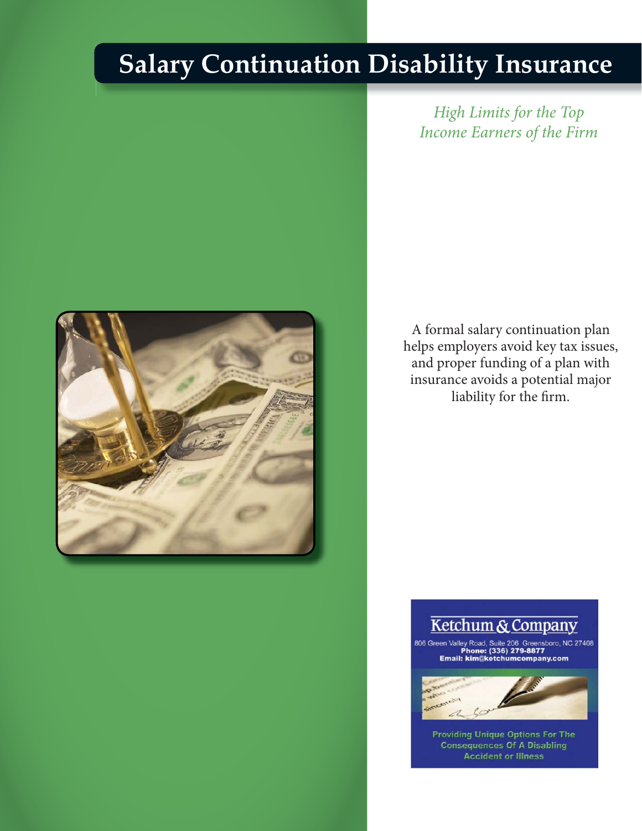## **Salary Continuation Disability Insurance**

*High Limits for the Top Income Earners of the Firm*



A formal salary continuation plan helps employers avoid key tax issues, and proper funding of a plan with insurance avoids a potential major liability for the firm.

## Ketchum & Company

806 Green Valley Road, Suite 206 Greensboro, NC 27408<br>Phone: (336) 279-8877<br>Email: kim@ketchumcompany.com



**Providing Unique Options For The<br>Consequences Of A Disabling<br>Accident or Illness** 

International Underwriters